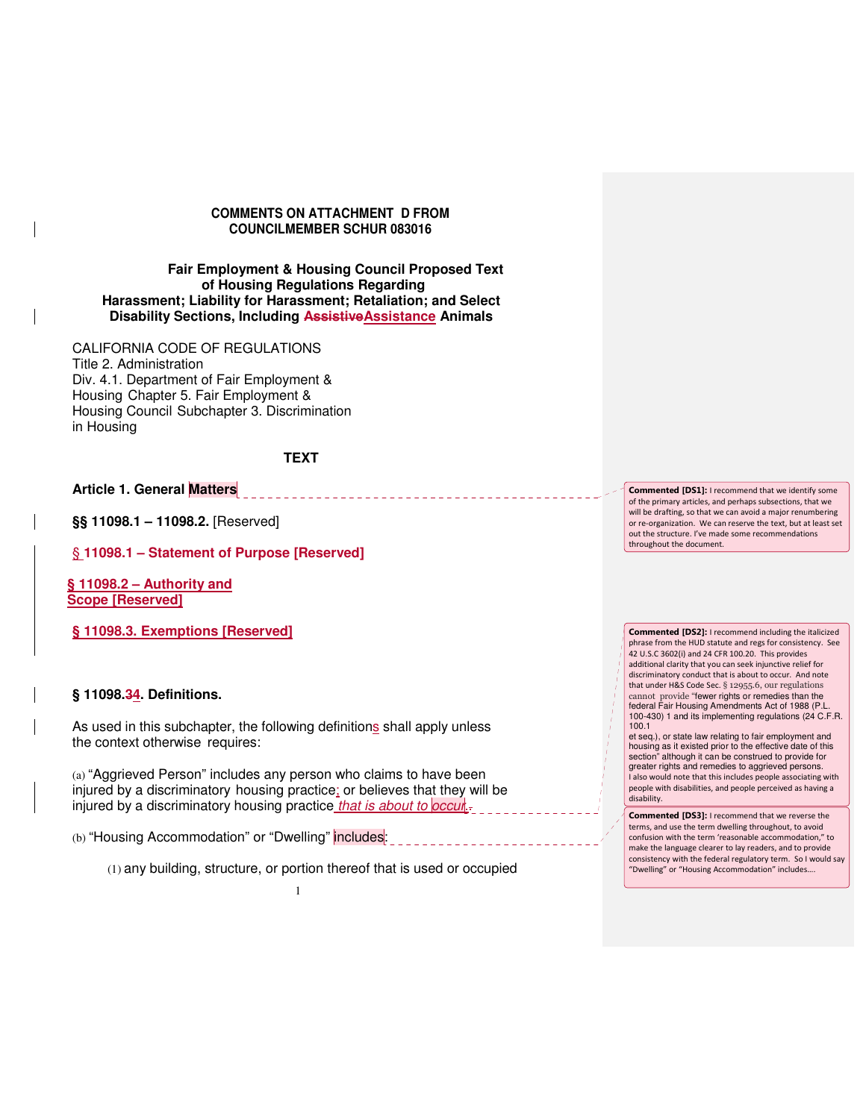#### **COMMENTS ON ATTACHMENT D FROM COUNCILMEMBER SCHUR 083016**

#### **Fair Employment & Housing Council Proposed Text of Housing Regulations Regarding Harassment; Liability for Harassment; Retaliation; and Select Disability Sections, Including AssistiveAssistance Animals**

CALIFORNIA CODE OF REGULATIONS Title 2. Administration Div. 4.1. Department of Fair Employment & Housing Chapter 5. Fair Employment & Housing Council Subchapter 3. Discrimination in Housing

### **TEXT**

### **Article 1. General Matters**

**§§ 11098.1 – 11098.2.** [Reserved]

§ **11098.1 – Statement of Purpose [Reserved]**

**§ 11098.2 – Authority and Scope [Reserved]** 

**§ 11098.3. Exemptions [Reserved]** 

### **§ 11098.34. Definitions.**

As used in this subchapter, the following definitions shall apply unless the context otherwise requires:

(a) "Aggrieved Person" includes any person who claims to have been injured by a discriminatory housing practice; or believes that they will be injured by a discriminatory housing practice that is about to occur.

(b) "Housing Accommodation" or "Dwelling" includes:

(1) any building, structure, or portion thereof that is used or occupied

Commented [DS1]: I recommend that we identify some of the primary articles, and perhaps subsections, that we will be drafting, so that we can avoid a major renumbering or re-organization. We can reserve the text, but at least set out the structure. I've made some recommendations throughout the document.

Commented [DS2]: I recommend including the italicized phrase from the HUD statute and regs for consistency. See 42 U.S.C 3602(i) and 24 CFR 100.20. This provides additional clarity that you can seek injunctive relief for discriminatory conduct that is about to occur. And note that under H&S Code Sec. § 12955.6, our regulations cannot provide "fewer rights or remedies than the federal Fair Housing Amendments Act of 1988 (P.L. 100-430) 1 and its implementing regulations (24 C.F.R. 100.1

et seq.), or state law relating to fair employment and housing as it existed prior to the effective date of this section" although it can be construed to provide for greater rights and remedies to aggrieved persons. I also would note that this includes people associating with people with disabilities, and people perceived as having a disability.

Commented [DS3]: I recommend that we reverse the terms, and use the term dwelling throughout, to avoid confusion with the term 'reasonable accommodation," to make the language clearer to lay readers, and to provide consistency with the federal regulatory term. So I would say "Dwelling" or "Housing Accommodation" includes….

1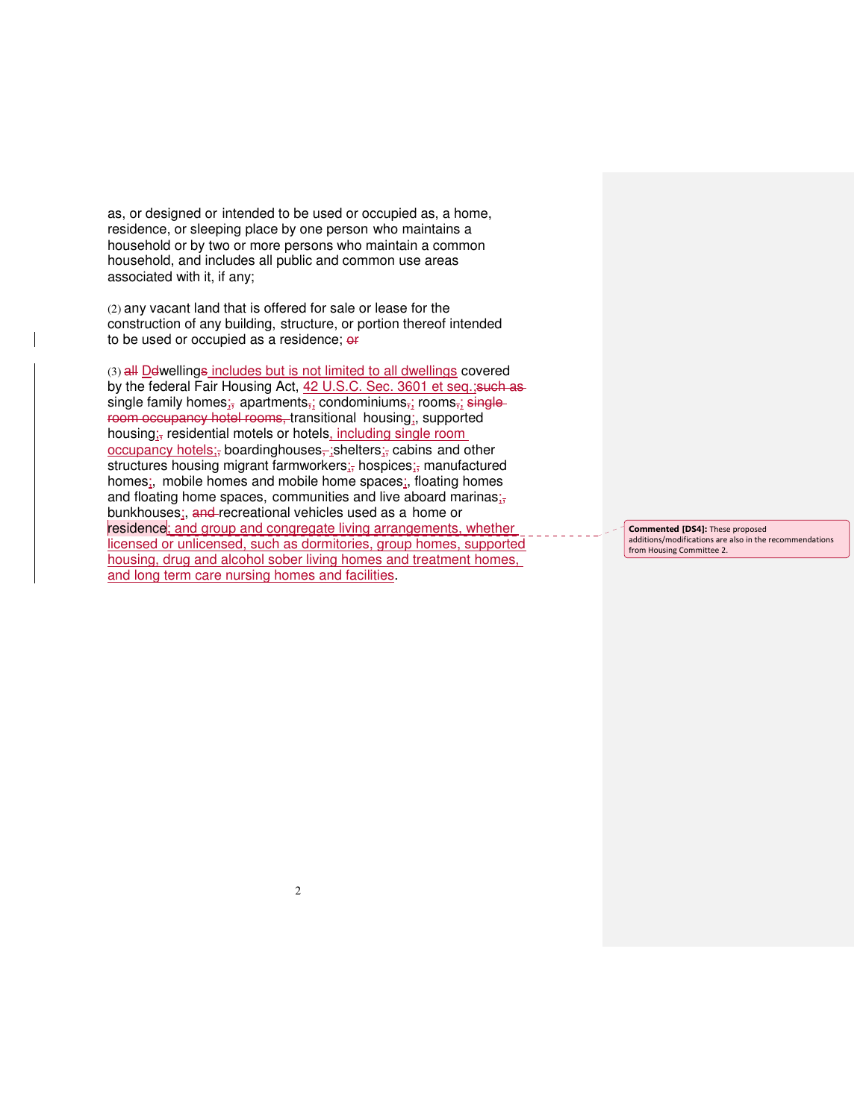as, or designed or intended to be used or occupied as, a home, residence, or sleeping place by one person who maintains a household or by two or more persons who maintain a common household, and includes all public and common use areas associated with it, if any;

(2) any vacant land that is offered for sale or lease for the construction of any building, structure, or portion thereof intended to be used or occupied as a residence; or

(3) all Ddwellings includes but is not limited to all dwellings covered by the federal Fair Housing Act, 42 U.S.C. Sec. 3601 et seq.; such assingle family homes; apartments, condominiums, rooms, singleroom occupancy hotel rooms, transitional housing;, supported housing<sub>is</sub> residential motels or hotels, including single room occupancy hotels; boardinghouses, ; shelters; cabins and other structures housing migrant farmworkers; hospices; manufactured homes;, mobile homes and mobile home spaces;, floating homes and floating home spaces, communities and live aboard marinas; $\frac{1}{2}$ bunkhouses;, and recreational vehicles used as a home or residence; and group and congregate living arrangements, whether licensed or unlicensed, such as dormitories, group homes, supported housing, drug and alcohol sober living homes and treatment homes, and long term care nursing homes and facilities.

Commented [DS4]: These proposed additions/modifications are also in the recommendations from Housing Committee 2.

 $\mathfrak{Z}$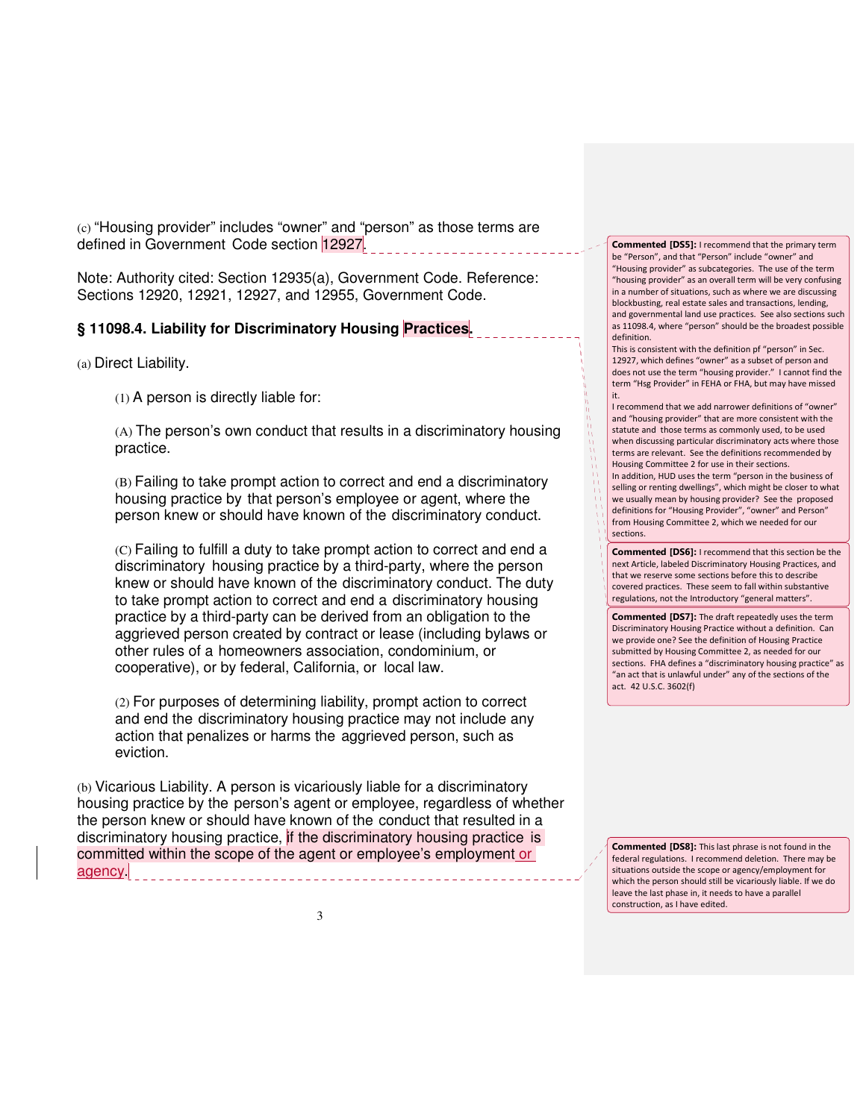(c) "Housing provider" includes "owner" and "person" as those terms are defined in Government Code section 12927.

Note: Authority cited: Section 12935(a), Government Code. Reference: Sections 12920, 12921, 12927, and 12955, Government Code.

### **§ 11098.4. Liability for Discriminatory Housing Practices.**

(a) Direct Liability.

(1) A person is directly liable for:

(A) The person's own conduct that results in a discriminatory housing practice.

(B) Failing to take prompt action to correct and end a discriminatory housing practice by that person's employee or agent, where the person knew or should have known of the discriminatory conduct.

(C) Failing to fulfill a duty to take prompt action to correct and end a discriminatory housing practice by a third-party, where the person knew or should have known of the discriminatory conduct. The duty to take prompt action to correct and end a discriminatory housing practice by a third-party can be derived from an obligation to the aggrieved person created by contract or lease (including bylaws or other rules of a homeowners association, condominium, or cooperative), or by federal, California, or local law.

(2) For purposes of determining liability, prompt action to correct and end the discriminatory housing practice may not include any action that penalizes or harms the aggrieved person, such as eviction.

(b) Vicarious Liability. A person is vicariously liable for a discriminatory housing practice by the person's agent or employee, regardless of whether the person knew or should have known of the conduct that resulted in a discriminatory housing practice, if the discriminatory housing practice is committed within the scope of the agent or employee's employment or agency.

Commented [DS5]: I recommend that the primary term be "Person", and that "Person" include "owner" and "Housing provider" as subcategories. The use of the term "housing provider" as an overall term will be very confusing in a number of situations, such as where we are discussing blockbusting, real estate sales and transactions, lending, and governmental land use practices. See also sections such as 11098.4, where "person" should be the broadest possible definition.

This is consistent with the definition pf "person" in Sec. 12927, which defines "owner" as a subset of person and does not use the term "housing provider." I cannot find the term "Hsg Provider" in FEHA or FHA, but may have missed it.

I recommend that we add narrower definitions of "owner" and "housing provider" that are more consistent with the statute and those terms as commonly used, to be used when discussing particular discriminatory acts where those terms are relevant. See the definitions recommended by Housing Committee 2 for use in their sections. In addition, HUD uses the term "person in the business of selling or renting dwellings", which might be closer to what we usually mean by housing provider? See the proposed definitions for "Housing Provider", "owner" and Person" from Housing Committee 2, which we needed for our sections.

Commented [DS6]: I recommend that this section be the next Article, labeled Discriminatory Housing Practices, and that we reserve some sections before this to describe covered practices. These seem to fall within substantive regulations, not the Introductory "general matters".

Commented [DS7]: The draft repeatedly uses the term Discriminatory Housing Practice without a definition. Can we provide one? See the definition of Housing Practice submitted by Housing Committee 2, as needed for our sections. FHA defines a "discriminatory housing practice" as "an act that is unlawful under" any of the sections of the act. 42 U.S.C. 3602(f)

Commented [DS8]: This last phrase is not found in the federal regulations. I recommend deletion. There may be situations outside the scope or agency/employment for which the person should still be vicariously liable. If we do leave the last phase in, it needs to have a parallel construction, as I have edited.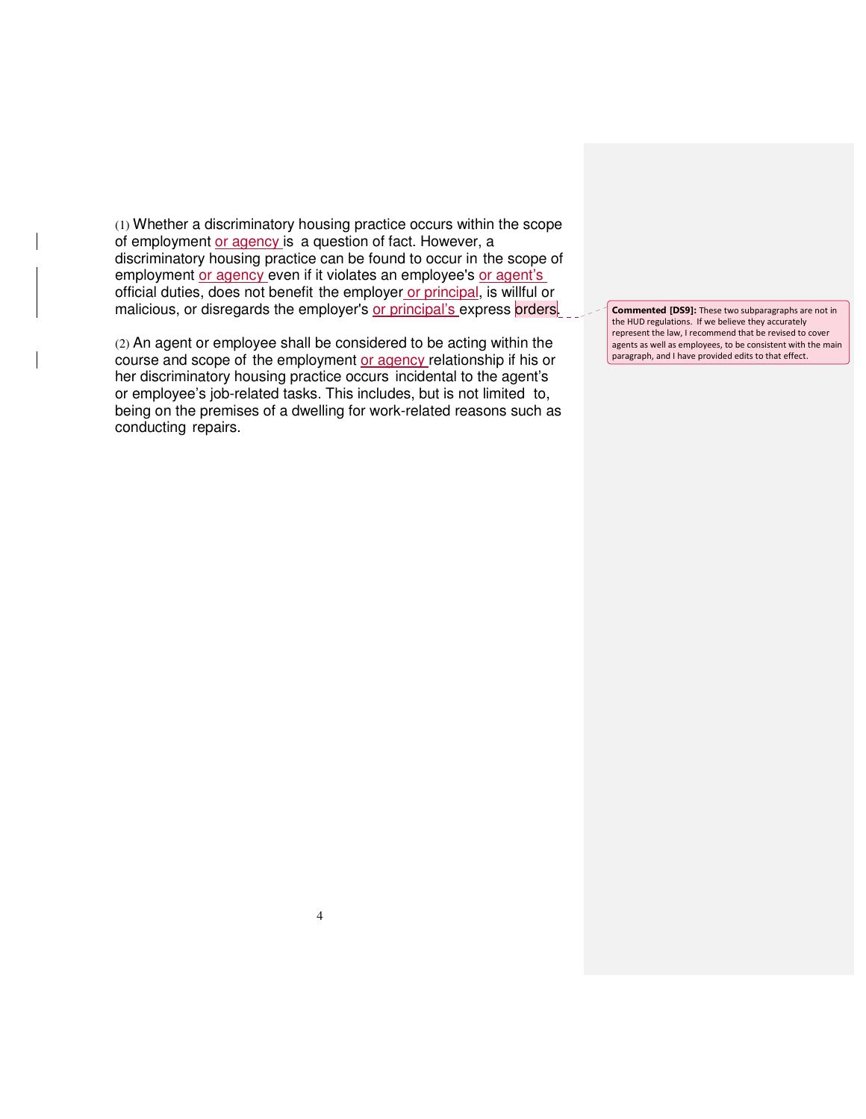(1) Whether a discriminatory housing practice occurs within the scope of employment or agency is a question of fact. However, a discriminatory housing practice can be found to occur in the scope of employment or agency even if it violates an employee's or agent's official duties, does not benefit the employer or principal, is willful or malicious, or disregards the employer's or principal's express orders.

(2) An agent or employee shall be considered to be acting within the course and scope of the employment or agency relationship if his or her discriminatory housing practice occurs incidental to the agent's or employee's job-related tasks. This includes, but is not limited to, being on the premises of a dwelling for work-related reasons such as conducting repairs.

Commented [DS9]: These two subparagraphs are not in the HUD regulations. If we believe they accurately represent the law, I recommend that be revised to cover agents as well as employees, to be consistent with the main paragraph, and I have provided edits to that effect.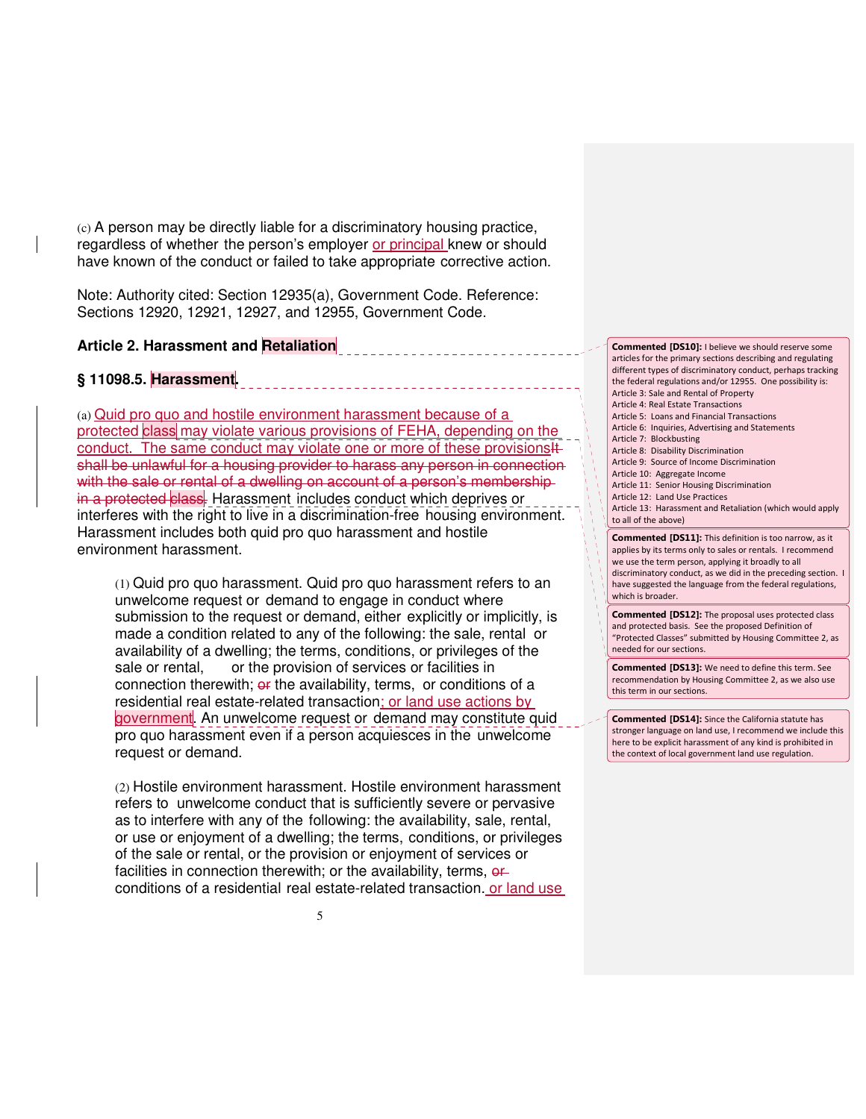(c) A person may be directly liable for a discriminatory housing practice, regardless of whether the person's employer or principal knew or should have known of the conduct or failed to take appropriate corrective action.

Note: Authority cited: Section 12935(a), Government Code. Reference: Sections 12920, 12921, 12927, and 12955, Government Code.

# **Article 2. Harassment and Retaliation**

# **§ 11098.5. Harassment.**

(a) Quid pro quo and hostile environment harassment because of a protected class may violate various provisions of FEHA, depending on the conduct. The same conduct may violate one or more of these provisions 4 shall be unlawful for a housing provider to harass any person in connection with the sale or rental of a dwelling on account of a person's membershipin a protected class. Harassment includes conduct which deprives or interferes with the right to live in a discrimination-free housing environment. Harassment includes both quid pro quo harassment and hostile environment harassment.

(1) Quid pro quo harassment. Quid pro quo harassment refers to an unwelcome request or demand to engage in conduct where submission to the request or demand, either explicitly or implicitly, is made a condition related to any of the following: the sale, rental or availability of a dwelling; the terms, conditions, or privileges of the sale or rental, or the provision of services or facilities in connection therewith; or the availability, terms, or conditions of a residential real estate-related transaction; or land use actions by government. An unwelcome request or demand may constitute quid pro quo harassment even if a person acquiesces in the unwelcome request or demand.

(2) Hostile environment harassment. Hostile environment harassment refers to unwelcome conduct that is sufficiently severe or pervasive as to interfere with any of the following: the availability, sale, rental, or use or enjoyment of a dwelling; the terms, conditions, or privileges of the sale or rental, or the provision or enjoyment of services or facilities in connection therewith; or the availability, terms,  $\theta$ fconditions of a residential real estate-related transaction. or land use Commented [DS10]: I believe we should reserve some articles for the primary sections describing and regulating different types of discriminatory conduct, perhaps tracking the federal regulations and/or 12955. One possibility is: Article 3: Sale and Rental of Property Article 4: Real Estate Transactions Article 5: Loans and Financial Transactions Article 6: Inquiries, Advertising and Statements Article 7: Blockbusting

- Article 8: Disability Discrimination Article 9: Source of Income Discrimination
- Article 10: Aggregate Income
- Article 11: Senior Housing Discrimination
- Article 12: Land Use Practices

Article 13: Harassment and Retaliation (which would apply to all of the above)

Commented [DS11]: This definition is too narrow, as it applies by its terms only to sales or rentals. I recommend we use the term person, applying it broadly to all discriminatory conduct, as we did in the preceding section. I have suggested the language from the federal regulations, which is broader.

Commented [DS12]: The proposal uses protected class and protected basis. See the proposed Definition of "Protected Classes" submitted by Housing Committee 2, as needed for our sections.

Commented [DS13]: We need to define this term. See recommendation by Housing Committee 2, as we also use this term in our sections.

Commented [DS14]: Since the California statute has stronger language on land use, I recommend we include this here to be explicit harassment of any kind is prohibited in the context of local government land use regulation.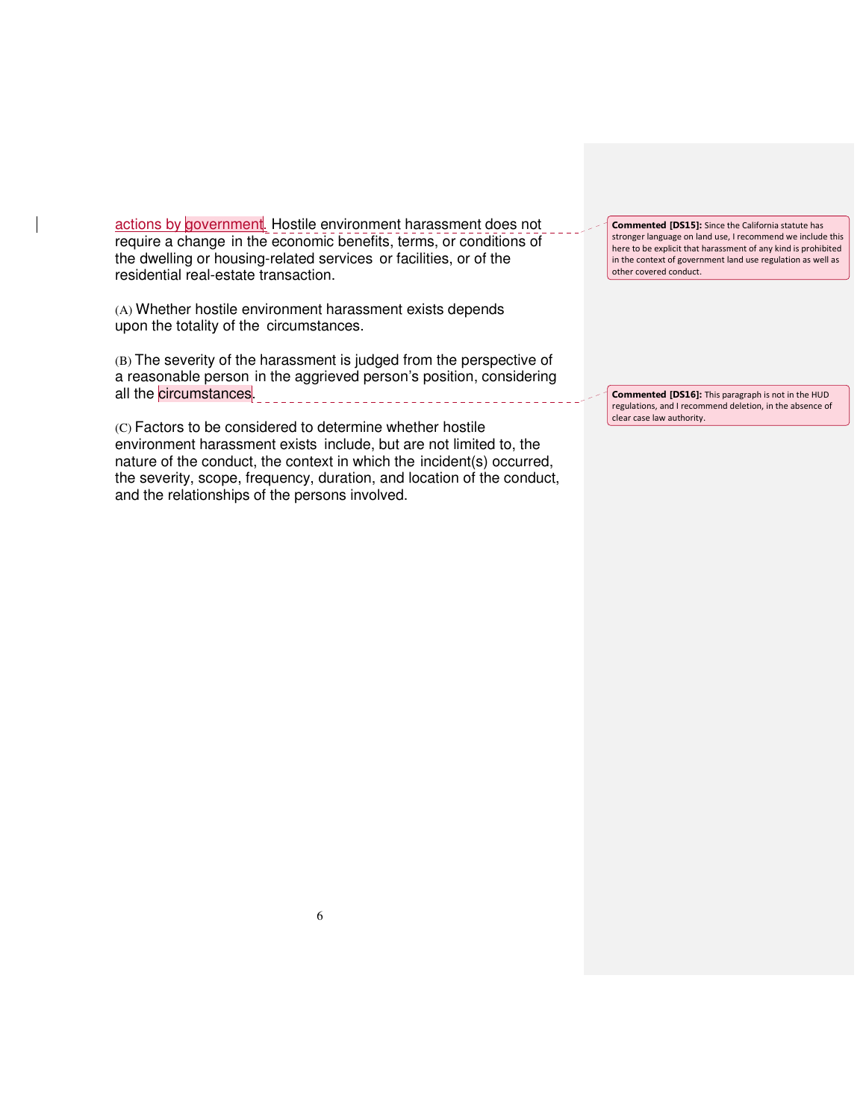actions by government. Hostile environment harassment does not require a change in the economic benefits, terms, or conditions of the dwelling or housing-related services or facilities, or of the residential real-estate transaction.

(A) Whether hostile environment harassment exists depends upon the totality of the circumstances.

(B) The severity of the harassment is judged from the perspective of a reasonable person in the aggrieved person's position, considering all the circumstances. 

(C) Factors to be considered to determine whether hostile environment harassment exists include, but are not limited to, the nature of the conduct, the context in which the incident(s) occurred, the severity, scope, frequency, duration, and location of the conduct, and the relationships of the persons involved.

Commented [DS15]: Since the California statute has stronger language on land use, I recommend we include this here to be explicit that harassment of any kind is prohibited in the context of government land use regulation as well as other covered conduct.

Commented [DS16]: This paragraph is not in the HUD regulations, and I recommend deletion, in the absence of clear case law authority.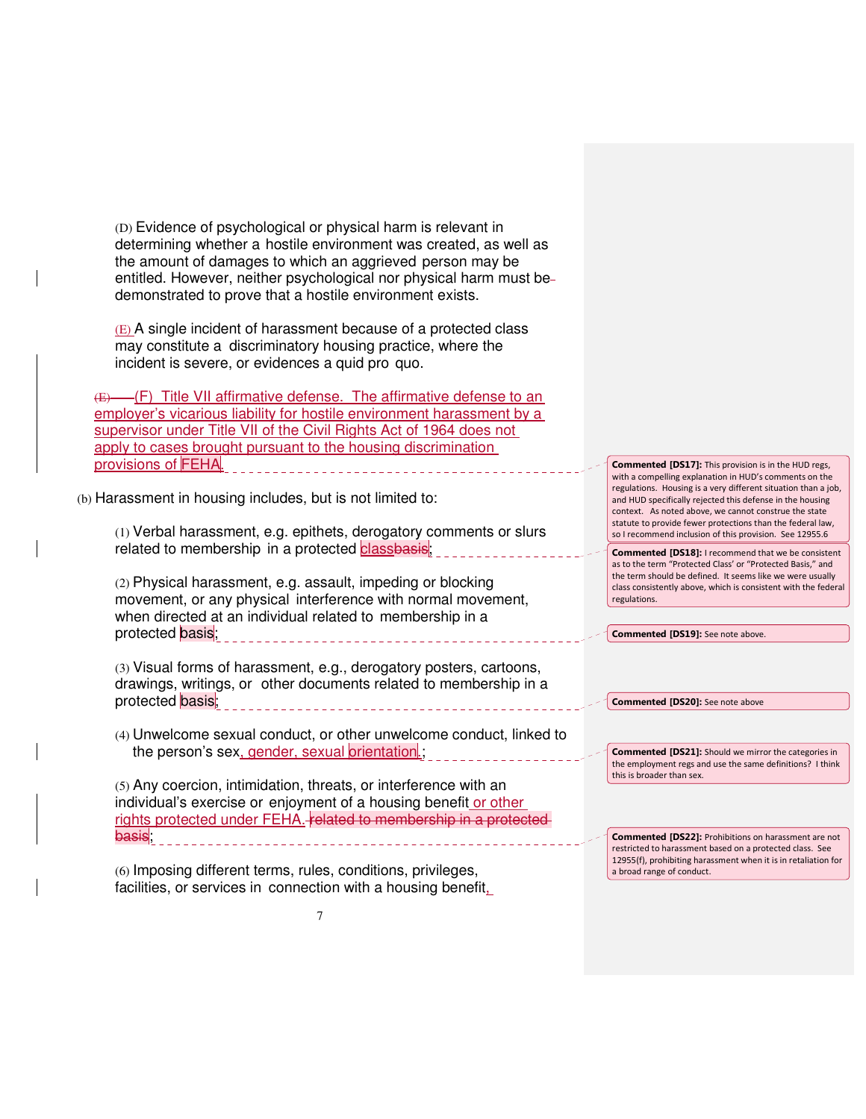(D) Evidence of psychological or physical harm is relevant in determining whether a hostile environment was created, as well as the amount of damages to which an aggrieved person may be entitled. However, neither psychological nor physical harm must be demonstrated to prove that a hostile environment exists.

(E) A single incident of harassment because of a protected class may constitute a discriminatory housing practice, where the incident is severe, or evidences a quid pro quo.

(E) (F) Title VII affirmative defense. The affirmative defense to an employer's vicarious liability for hostile environment harassment by a supervisor under Title VII of the Civil Rights Act of 1964 does not apply to cases brought pursuant to the housing discrimination provisions of FEHA.

(b) Harassment in housing includes, but is not limited to:

(1) Verbal harassment, e.g. epithets, derogatory comments or slurs related to membership in a protected <mark>classbasis</mark>;

(2) Physical harassment, e.g. assault, impeding or blocking movement, or any physical interference with normal movement, when directed at an individual related to membership in a protected basis;

(3) Visual forms of harassment, e.g., derogatory posters, cartoons, drawings, writings, or other documents related to membership in a protected basis;

(4) Unwelcome sexual conduct, or other unwelcome conduct, linked to the person's sex, gender, sexual orientation.;

(5) Any coercion, intimidation, threats, or interference with an individual's exercise or enjoyment of a housing benefit or other rights protected under FEHA. **Felated to membership in a protected** basis;

(6) Imposing different terms, rules, conditions, privileges, facilities, or services in connection with a housing benefit, Commented [DS17]: This provision is in the HUD regs, with a compelling explanation in HUD's comments on the regulations. Housing is a very different situation than a job, and HUD specifically rejected this defense in the housing context. As noted above, we cannot construe the state statute to provide fewer protections than the federal law, so I recommend inclusion of this provision. See 12955.6

Commented [DS18]: I recommend that we be consistent as to the term "Protected Class' or "Protected Basis," and the term should be defined. It seems like we were usually class consistently above, which is consistent with the federal regulations.

Commented [DS19]: See note above.

Commented [DS20]: See note above

Commented [DS21]: Should we mirror the categories in the employment regs and use the same definitions? I think this is broader than sex.

Commented [DS22]: Prohibitions on harassment are not restricted to harassment based on a protected class. See 12955(f), prohibiting harassment when it is in retaliation for a broad range of conduct.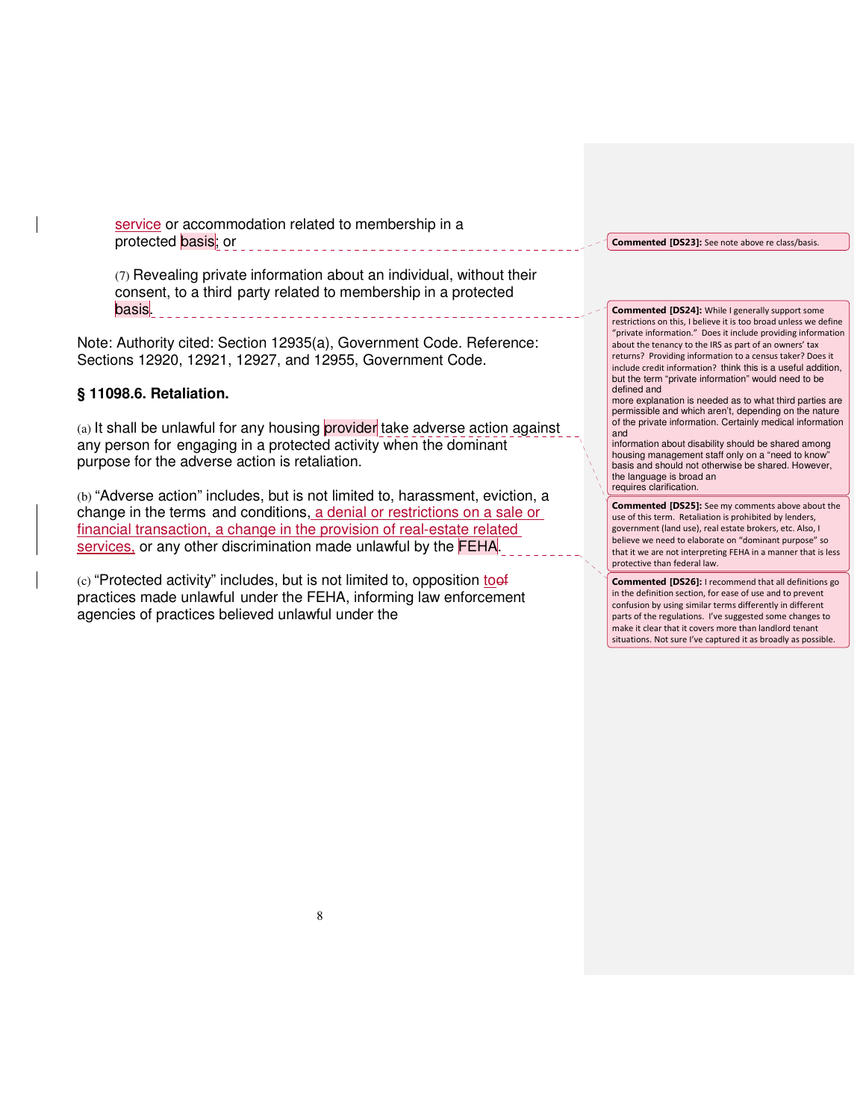service or accommodation related to membership in a protected basis; or

(7) Revealing private information about an individual, without their consent, to a third party related to membership in a protected basis.

Note: Authority cited: Section 12935(a), Government Code. Reference: Sections 12920, 12921, 12927, and 12955, Government Code.

## **§ 11098.6. Retaliation.**

(a) It shall be unlawful for any housing provider take adverse action against any person for engaging in a protected activity when the dominant purpose for the adverse action is retaliation.

(b) "Adverse action" includes, but is not limited to, harassment, eviction, a change in the terms and conditions, a denial or restrictions on a sale or financial transaction, a change in the provision of real-estate related services, or any other discrimination made unlawful by the **FEHA**.

 $(c)$  "Protected activity" includes, but is not limited to, opposition to  $\frac{10}{2}$ practices made unlawful under the FEHA, informing law enforcement agencies of practices believed unlawful under the

Commented [DS23]: See note above re class/basis.

Commented [DS24]: While I generally support some restrictions on this, I believe it is too broad unless we define "private information." Does it include providing information about the tenancy to the IRS as part of an owners' tax returns? Providing information to a census taker? Does it include credit information? think this is a useful addition, but the term "private information" would need to be defined and

more explanation is needed as to what third parties are permissible and which aren't, depending on the nature of the private information. Certainly medical information and

information about disability should be shared among housing management staff only on a "need to know basis and should not otherwise be shared. However, the language is broad an requires clarification.

Commented [DS25]: See my comments above about the use of this term. Retaliation is prohibited by lenders, government (land use), real estate brokers, etc. Also, I believe we need to elaborate on "dominant purpose" so that it we are not interpreting FEHA in a manner that is less protective than federal law.

Commented [DS26]: I recommend that all definitions go in the definition section, for ease of use and to prevent confusion by using similar terms differently in different parts of the regulations. I've suggested some changes to make it clear that it covers more than landlord tenant situations. Not sure I've captured it as broadly as possible.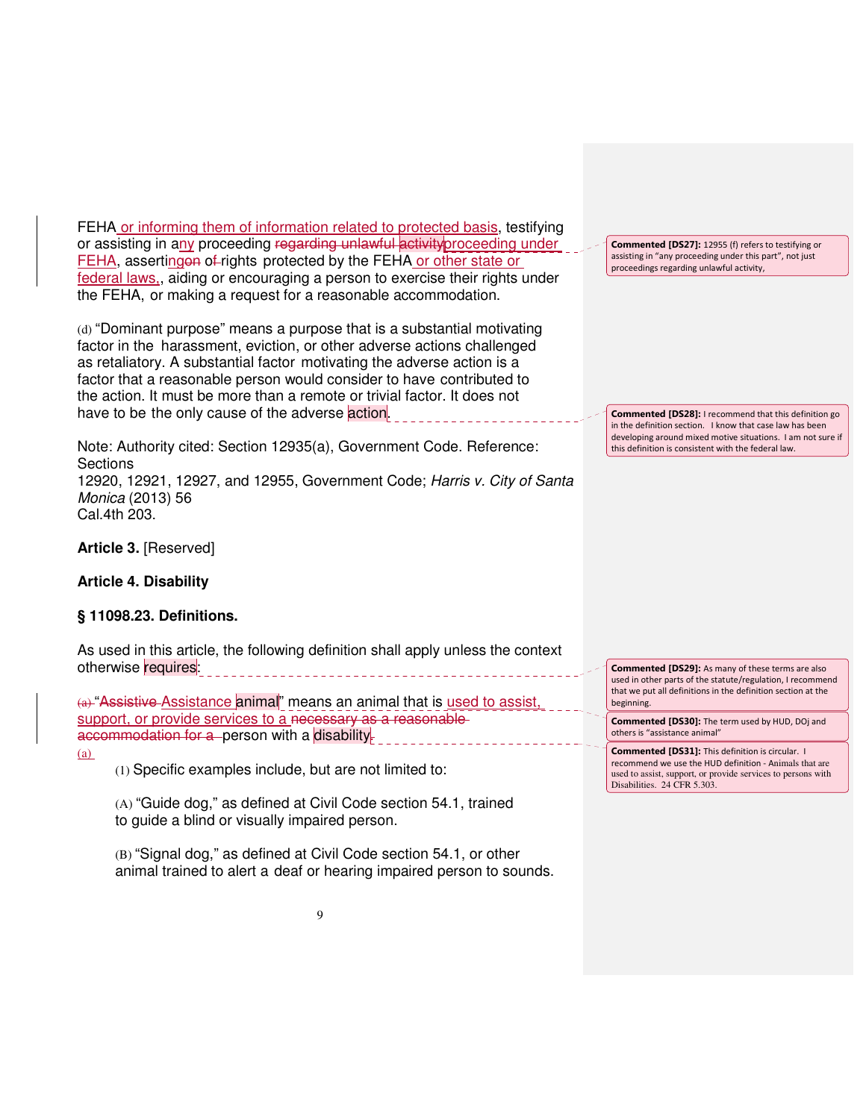FEHA or informing them of information related to protected basis, testifying or assisting in any proceeding regarding unlawful activity proceeding under FEHA, assertingon of rights protected by the FEHA or other state or federal laws., aiding or encouraging a person to exercise their rights under the FEHA, or making a request for a reasonable accommodation.

(d) "Dominant purpose" means a purpose that is a substantial motivating factor in the harassment, eviction, or other adverse actions challenged as retaliatory. A substantial factor motivating the adverse action is a factor that a reasonable person would consider to have contributed to the action. It must be more than a remote or trivial factor. It does not have to be the only cause of the adverse action.

Note: Authority cited: Section 12935(a), Government Code. Reference: **Sections** 12920, 12921, 12927, and 12955, Government Code; Harris v. City of Santa Monica (2013) 56 Cal.4th 203.

**Article 3.** [Reserved]

**Article 4. Disability**

## **§ 11098.23. Definitions.**

As used in this article, the following definition shall apply unless the context otherwise requires: \_\_\_\_\_\_\_\_\_\_\_\_\_\_\_\_\_\_\_\_\_\_\_\_\_\_\_\_\_\_\_\_\_

 $\left(a\right)$  "Assistive Assistance animal" means an animal that is used to assist support, or provide services to a necessary as a reasonable accommodation for a person with a disability-

 $(a)$ 

(1) Specific examples include, but are not limited to:

(A) "Guide dog," as defined at Civil Code section 54.1, trained to guide a blind or visually impaired person.

(B) "Signal dog," as defined at Civil Code section 54.1, or other animal trained to alert a deaf or hearing impaired person to sounds.

Commented [DS27]: 12955 (f) refers to testifying or assisting in "any proceeding under this part", not just proceedings regarding unlawful activity,

Commented [DS28]: I recommend that this definition go in the definition section. I know that case law has been developing around mixed motive situations. I am not sure if this definition is consistent with the federal law.

Commented [DS29]: As many of these terms are also used in other parts of the statute/regulation, I recommend that we put all definitions in the definition section at the beginning.

Commented [DS30]: The term used by HUD, DOj and others is "assistance animal"

Commented [DS31]: This definition is circular. I recommend we use the HUD definition - Animals that are used to assist, support, or provide services to persons with Disabilities. 24 CFR 5.303.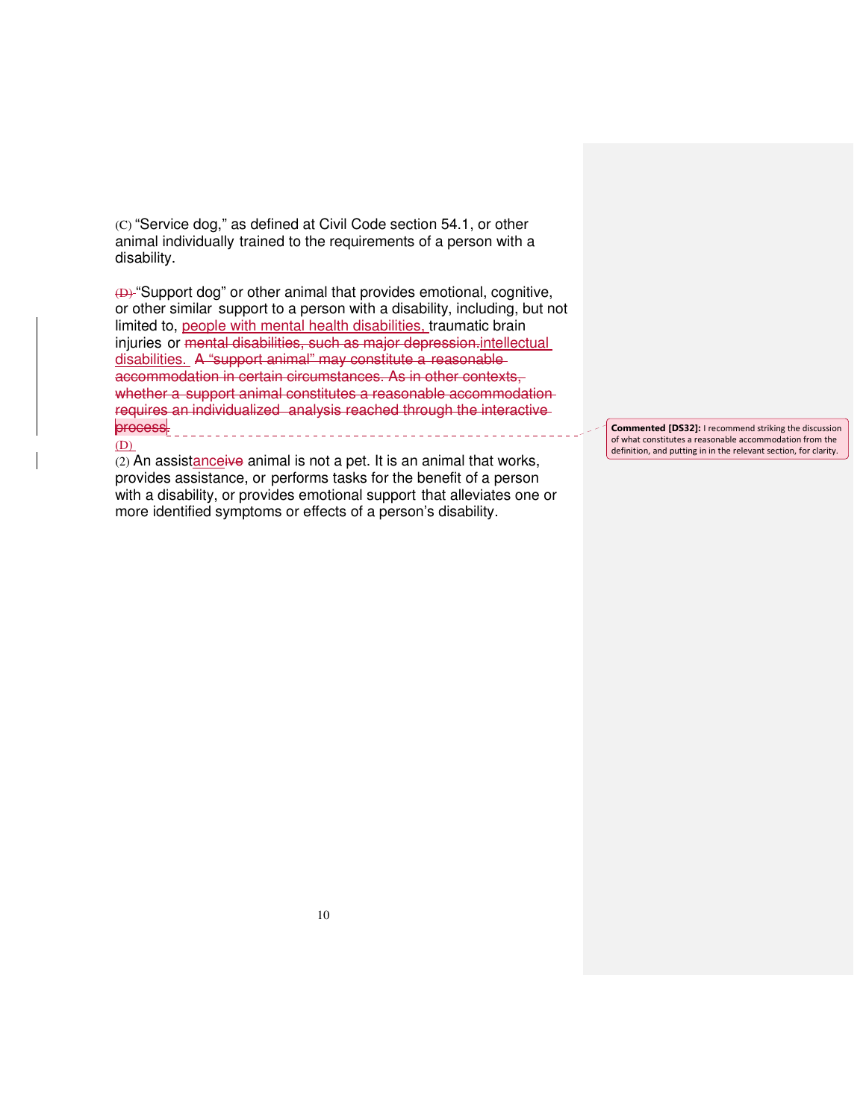(C) "Service dog," as defined at Civil Code section 54.1, or other animal individually trained to the requirements of a person with a disability.

(D) "Support dog" or other animal that provides emotional, cognitive, or other similar support to a person with a disability, including, but not limited to, people with mental health disabilities, traumatic brain injuries or mental disabilities, such as major depression-intellectual disabilities. A "support animal" may constitute a reasonable accommodation in certain circumstances. As in other contexts, whether a support animal constitutes a reasonable accommodationrequires an individualized analysis reached through the interactive process. (D)

(2) An assistanceive animal is not a pet. It is an animal that works, provides assistance, or performs tasks for the benefit of a person with a disability, or provides emotional support that alleviates one or more identified symptoms or effects of a person's disability.

Commented [DS32]: I recommend striking the discussion of what constitutes a reasonable accommodation from the definition, and putting in in the relevant section, for clarity.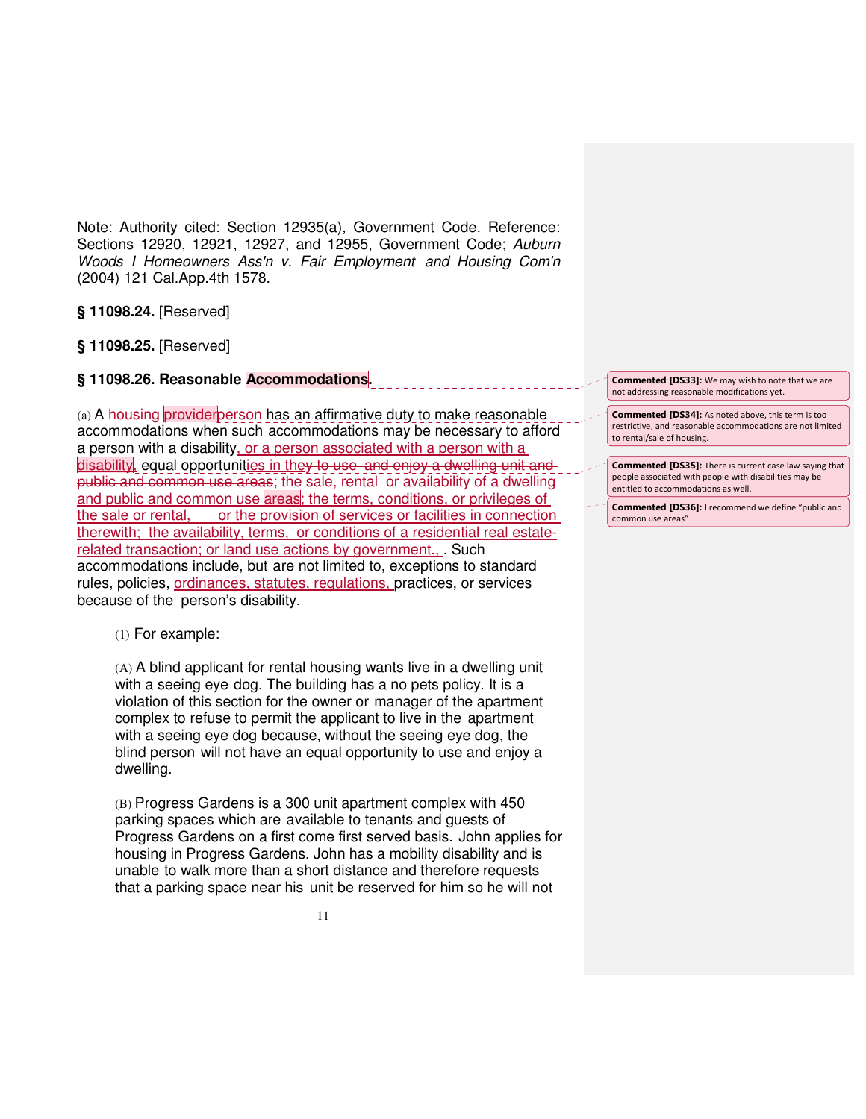Note: Authority cited: Section 12935(a), Government Code. Reference: Sections 12920, 12921, 12927, and 12955, Government Code; Auburn Woods I Homeowners Ass'n v. Fair Employment and Housing Com'n (2004) 121 Cal.App.4th 1578.

**§ 11098.24.** [Reserved]

**§ 11098.25.** [Reserved]

# **§ 11098.26. Reasonable Accommodations.**

(a) A housing provider person has an affirmative duty to make reasonable accommodations when such accommodations may be necessary to afford a person with a disability, or a person associated with a person with a disability, equal opportunities in they to use and enjoy a dwelling unit and public and common use areas; the sale, rental or availability of a dwelling and public and common use areas; the terms, conditions, or privileges of the sale or rental, or the provision of services or facilities in connection therewith; the availability, terms, or conditions of a residential real estaterelated transaction; or land use actions by government., . Such accommodations include, but are not limited to, exceptions to standard rules, policies, ordinances, statutes, regulations, practices, or services because of the person's disability.

(1) For example:

(A) A blind applicant for rental housing wants live in a dwelling unit with a seeing eye dog. The building has a no pets policy. It is a violation of this section for the owner or manager of the apartment complex to refuse to permit the applicant to live in the apartment with a seeing eye dog because, without the seeing eye dog, the blind person will not have an equal opportunity to use and enjoy a dwelling.

(B) Progress Gardens is a 300 unit apartment complex with 450 parking spaces which are available to tenants and guests of Progress Gardens on a first come first served basis. John applies for housing in Progress Gardens. John has a mobility disability and is unable to walk more than a short distance and therefore requests that a parking space near his unit be reserved for him so he will not

Commented [DS33]: We may wish to note that we are not addressing reasonable modifications yet.

Commented [DS34]: As noted above, this term is too restrictive, and reasonable accommodations are not limited to rental/sale of housing.

Commented [DS35]: There is current case law saying that people associated with people with disabilities may be entitled to accommodations as well.

Commented [DS36]: I recommend we define "public and common use areas"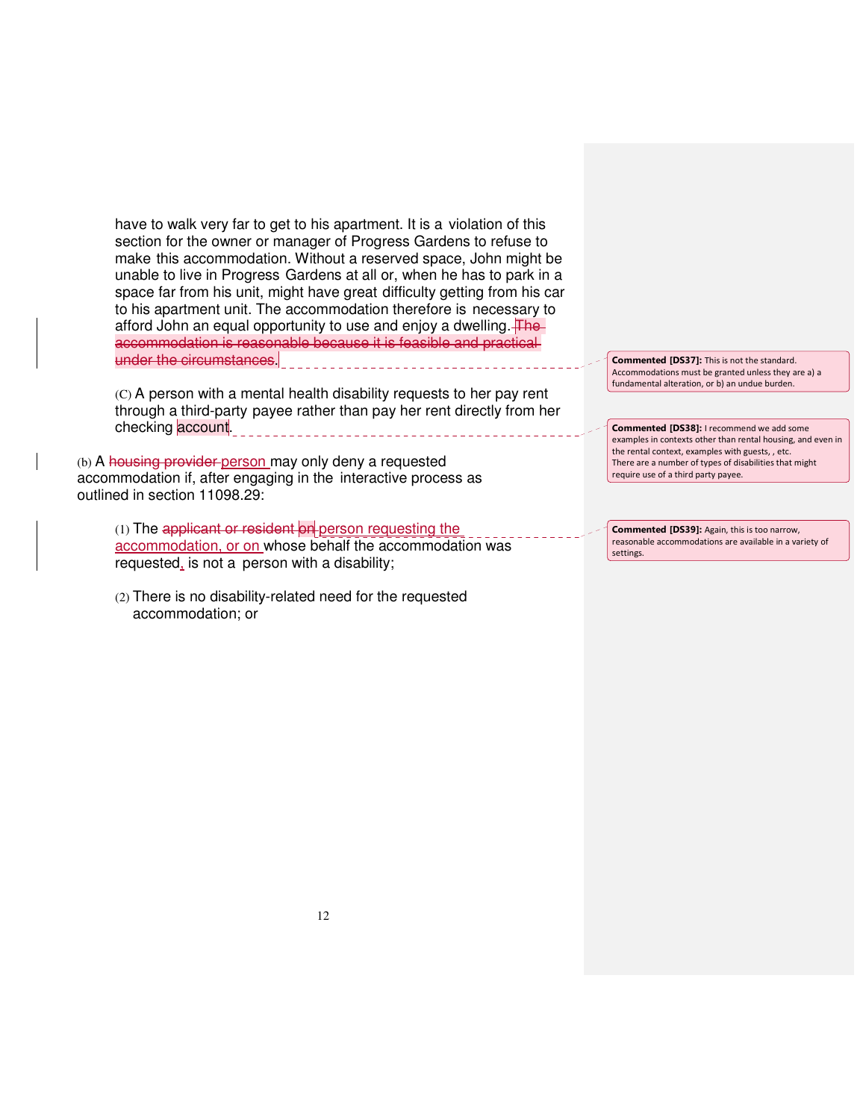have to walk very far to get to his apartment. It is a violation of this section for the owner or manager of Progress Gardens to refuse to make this accommodation. Without a reserved space, John might be unable to live in Progress Gardens at all or, when he has to park in a space far from his unit, might have great difficulty getting from his car to his apartment unit. The accommodation therefore is necessary to afford John an equal opportunity to use and enjoy a dwelling. The accommodation is reasonable because it is feasible and practical under the circumstances.

(C) A person with a mental health disability requests to her pay rent through a third-party payee rather than pay her rent directly from her checking account. <u> 1999 - Johann Barbara, mart</u>

(b) A housing provider person may only deny a requested accommodation if, after engaging in the interactive process as outlined in section 11098.29:

(1) The applicant or resident on person requesting the accommodation, or on whose behalf the accommodation was requested, is not a person with a disability;

(2) There is no disability-related need for the requested accommodation; or

Commented [DS37]: This is not the standard. Accommodations must be granted unless they are a) a fundamental alteration, or b) an undue burden.

Commented [DS38]: I recommend we add some examples in contexts other than rental housing, and even in the rental context, examples with guests, , etc. There are a number of types of disabilities that might require use of a third party payee.

Commented [DS39]: Again, this is too narrow, reasonable accommodations are available in a variety of settings.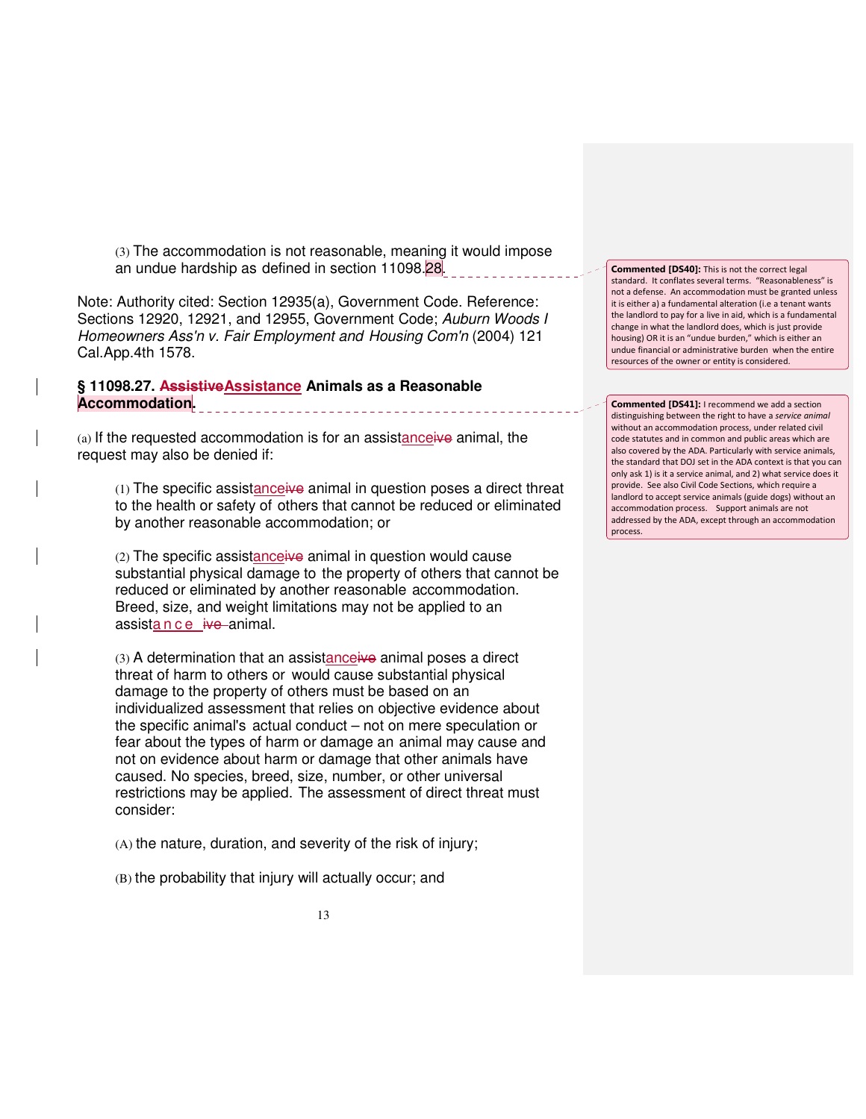(3) The accommodation is not reasonable, meaning it would impose an undue hardship as defined in section 11098.28.

Note: Authority cited: Section 12935(a), Government Code. Reference: Sections 12920, 12921, and 12955, Government Code; Auburn Woods I Homeowners Ass'n v. Fair Employment and Housing Com'n (2004) 121 Cal.App.4th 1578.

## **§ 11098.27. AssistiveAssistance Animals as a Reasonable Accommodation.**

(a) If the requested accommodation is for an assistanceive animal, the request may also be denied if:

(1) The specific assistanceive animal in question poses a direct threat to the health or safety of others that cannot be reduced or eliminated by another reasonable accommodation; or

(2) The specific assistanceive animal in question would cause substantial physical damage to the property of others that cannot be reduced or eliminated by another reasonable accommodation. Breed, size, and weight limitations may not be applied to an assista n c e ive animal.

(3) A determination that an assistanceive animal poses a direct threat of harm to others or would cause substantial physical damage to the property of others must be based on an individualized assessment that relies on objective evidence about the specific animal's actual conduct – not on mere speculation or fear about the types of harm or damage an animal may cause and not on evidence about harm or damage that other animals have caused. No species, breed, size, number, or other universal restrictions may be applied. The assessment of direct threat must consider:

(A) the nature, duration, and severity of the risk of injury;

(B) the probability that injury will actually occur; and

Commented [DS40]: This is not the correct legal standard. It conflates several terms. "Reasonableness" is not a defense. An accommodation must be granted unless it is either a) a fundamental alteration (i.e a tenant wants the landlord to pay for a live in aid, which is a fundamental change in what the landlord does, which is just provide housing) OR it is an "undue burden," which is either an undue financial or administrative burden when the entire resources of the owner or entity is considered.

Commented [DS41]: I recommend we add a section distinguishing between the right to have a service animal without an accommodation process, under related civil code statutes and in common and public areas which are also covered by the ADA. Particularly with service animals, the standard that DOJ set in the ADA context is that you can only ask 1) is it a service animal, and 2) what service does it provide. See also Civil Code Sections, which require a landlord to accept service animals (guide dogs) without an accommodation process. Support animals are not addressed by the ADA, except through an accommodation process.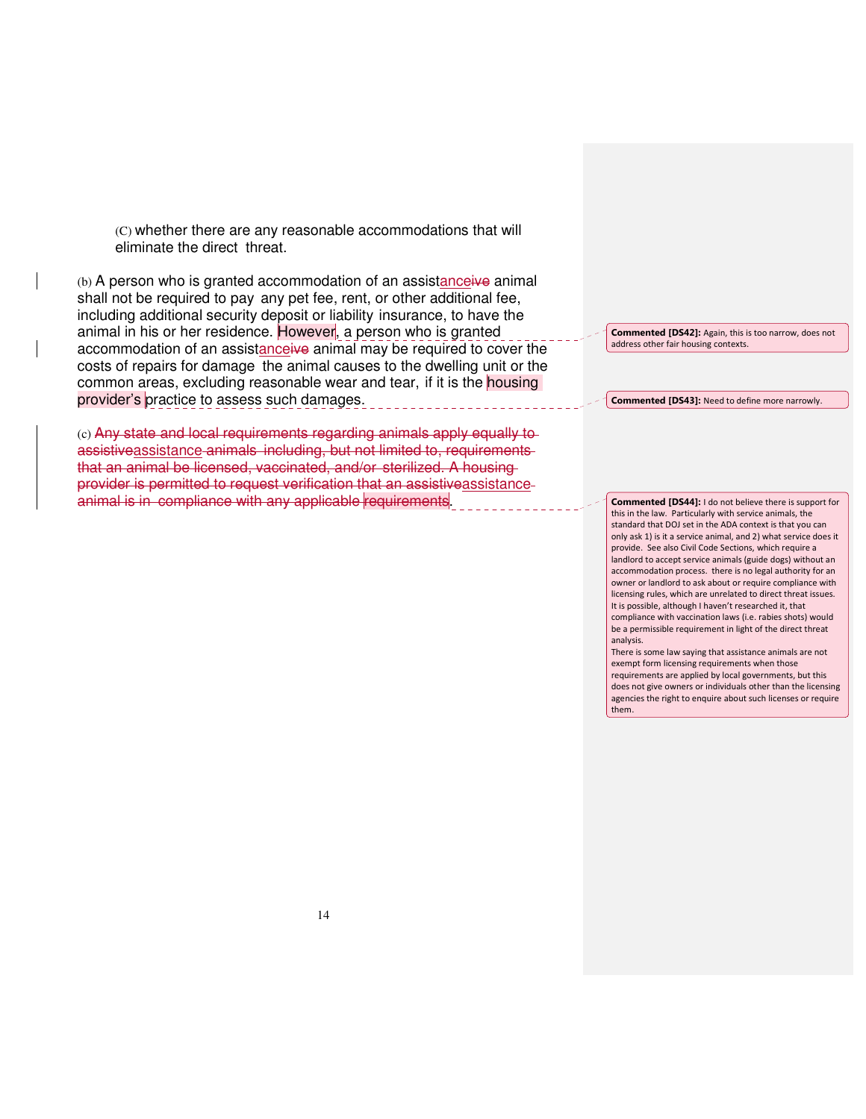(C) whether there are any reasonable accommodations that will eliminate the direct threat.

(b) A person who is granted accommodation of an assistanceive animal shall not be required to pay any pet fee, rent, or other additional fee, including additional security deposit or liability insurance, to have the animal in his or her residence. However, a person who is granted accommodation of an assistanceive animal may be required to cover the costs of repairs for damage the animal causes to the dwelling unit or the common areas, excluding reasonable wear and tear, if it is the **housing** provider's practice to assess such damages.

(c) Any state and local requirements regarding animals apply equally to assistiveassistance animals including, but not limited to, requirements that an animal be licensed, vaccinated, and/or sterilized. A housing provider is permitted to request verification that an assistiveassistance animal is in compliance with any applicable requirements

Commented [DS42]: Again, this is too narrow, does not address other fair housing contexts.

Commented [DS43]: Need to define more narrowly.

Commented [DS44]: I do not believe there is support for this in the law. Particularly with service animals, the standard that DOJ set in the ADA context is that you can only ask 1) is it a service animal, and 2) what service does it provide. See also Civil Code Sections, which require a landlord to accept service animals (guide dogs) without an accommodation process. there is no legal authority for an owner or landlord to ask about or require compliance with licensing rules, which are unrelated to direct threat issues. It is possible, although I haven't researched it, that compliance with vaccination laws (i.e. rabies shots) would be a permissible requirement in light of the direct threat analysis.

There is some law saying that assistance animals are not exempt form licensing requirements when those requirements are applied by local governments, but this does not give owners or individuals other than the licensing agencies the right to enquire about such licenses or require them.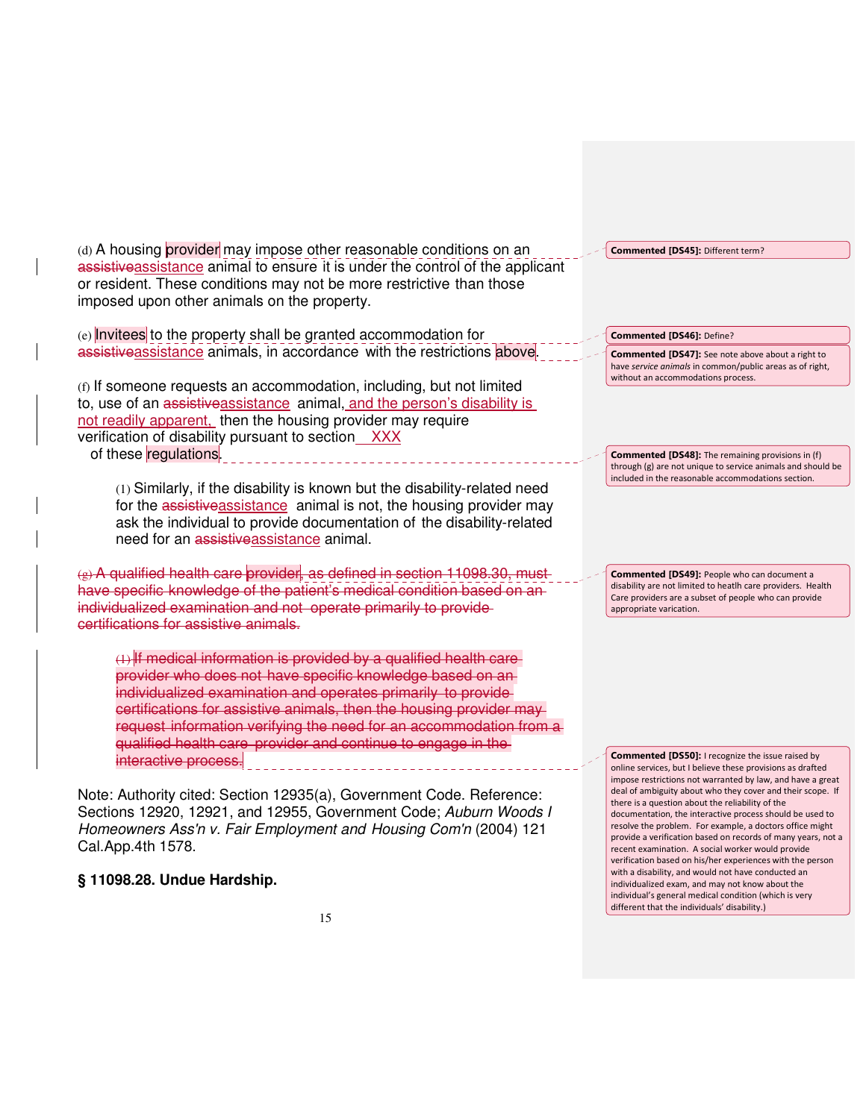(d) A housing provider may impose other reasonable conditions on an assistive assistance animal to ensure it is under the control of the applicant or resident. These conditions may not be more restrictive than those imposed upon other animals on the property.

(e) Invitees to the property shall be granted accommodation for assistiveassistance animals, in accordance with the restrictions above.

(f) If someone requests an accommodation, including, but not limited to, use of an assistive assistance animal, and the person's disability is not readily apparent, then the housing provider may require verification of disability pursuant to section XXX of these regulations.

(1) Similarly, if the disability is known but the disability-related need for the assistive assistance animal is not, the housing provider may ask the individual to provide documentation of the disability-related need for an assistiveassistance animal.

(g) A qualified health care provider, as defined in section 11098.30, have specific knowledge of the patient's medical condition based on anindividualized examination and not operate primarily to provide certifications for assistive animals.

 $(1)$  If medical information is provided by a qualified health careprovider who does not have specific knowledge based on an individualized examination and operates primarily to provide certifications for assistive animals, then the housing provider may request information verifying the need for an accommodation from a qualified health care provider and continue to engage in the interactive process.

Note: Authority cited: Section 12935(a), Government Code. Reference: Sections 12920, 12921, and 12955, Government Code; Auburn Woods I Homeowners Ass'n v. Fair Employment and Housing Com'n (2004) 121 Cal.App.4th 1578.

**§ 11098.28. Undue Hardship.**

Commented [DS45]: Different term?

Commented [DS46]: Define?

Commented [DS47]: See note above about a right to have service animals in common/public areas as of right, without an accommodations process.

through (g) are not unique to service animals and should be included in the reasonable accommodations section.

Commented [DS48]: The remaining provisions in (f)

Commented [DS49]: People who can document a disability are not limited to heatlh care providers. Health Care providers are a subset of people who can provide appropriate varication.

Commented [DS50]: I recognize the issue raised by online services, but I believe these provisions as drafted impose restrictions not warranted by law, and have a great deal of ambiguity about who they cover and their scope. If there is a question about the reliability of the documentation, the interactive process should be used to resolve the problem. For example, a doctors office might provide a verification based on records of many years, not a recent examination. A social worker would provide verification based on his/her experiences with the person with a disability, and would not have conducted an individualized exam, and may not know about the individual's general medical condition (which is very different that the individuals' disability.)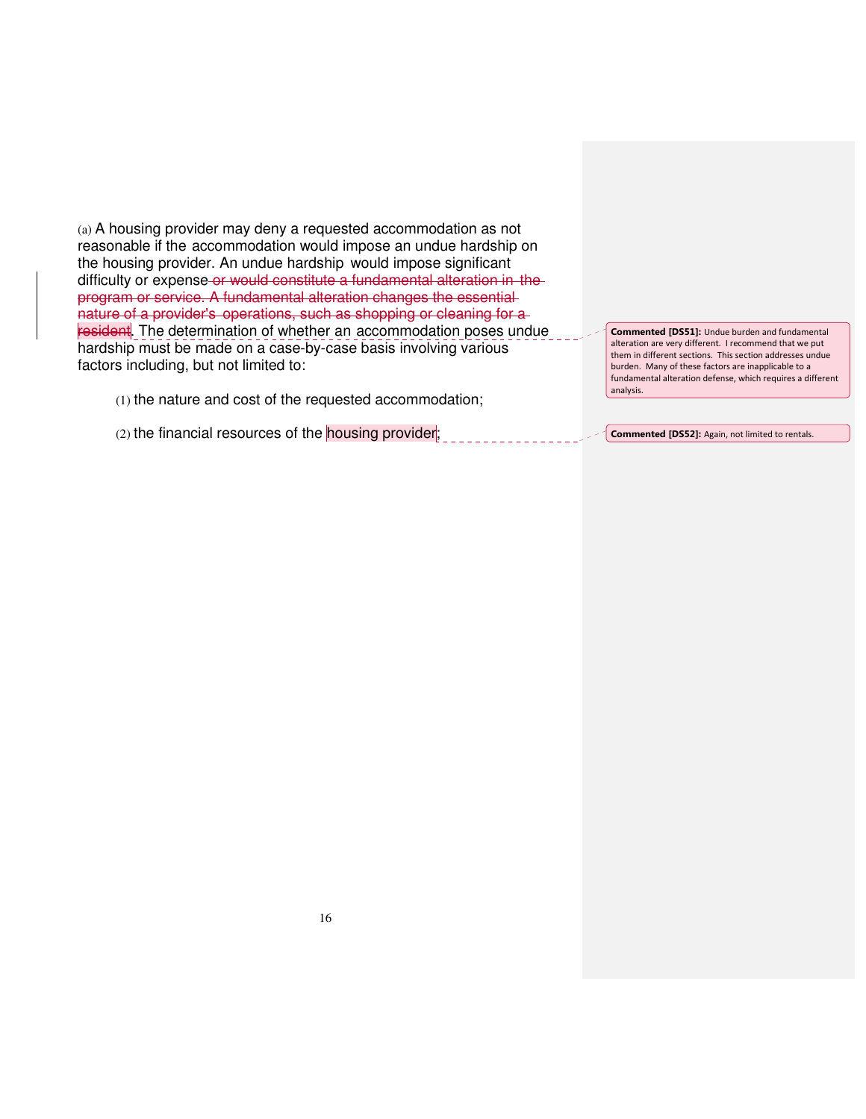(a) A housing provider may deny a requested accommodation as not reasonable if the accommodation would impose an undue hardship on the housing provider. An undue hardship would impose significant difficulty or expense or would constitute a fundamental alteration in the program or service. A fundamental alteration changes the essential nature of a provider's operations, such as shopping or cleaning for a resident. The determination of whether an accommodation poses undue hardship must be made on a case-by-case basis involving various factors including, but not limited to:

(1) the nature and cost of the requested accommodation;

(2) the financial resources of the housing provider;

Commented [DS51]: Undue burden and fundamental alteration are very different. I recommend that we put them in different sections. This section addresses undue burden. Many of these factors are inapplicable to a fundamental alteration defense, which requires a different analysis.

Commented [DS52]: Again, not limited to rentals.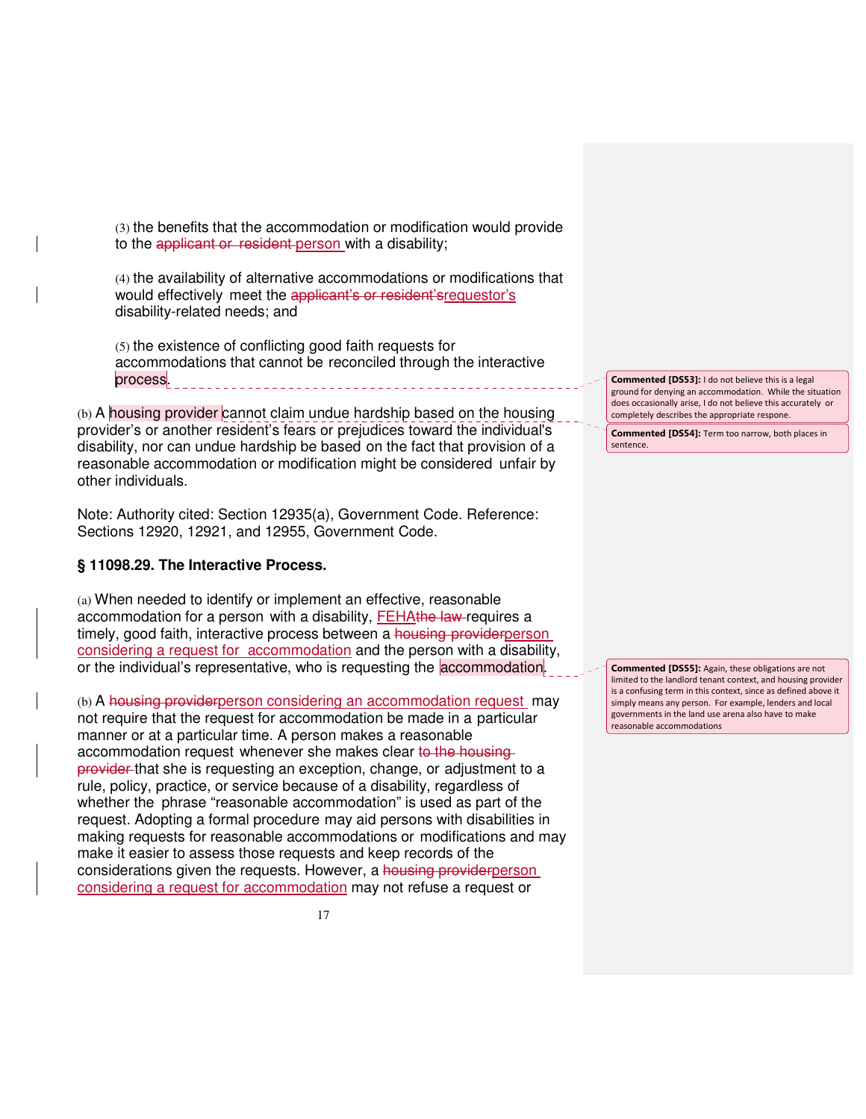(3) the benefits that the accommodation or modification would provide to the applicant or resident person with a disability;

(4) the availability of alternative accommodations or modifications that would effectively meet the applicant's or resident'srequestor's disability-related needs; and

(5) the existence of conflicting good faith requests for accommodations that cannot be reconciled through the interactive process.

 $(b)$  A housing provider cannot claim undue hardship based on the housing provider's or another resident's fears or prejudices toward the individual's disability, nor can undue hardship be based on the fact that provision of a reasonable accommodation or modification might be considered unfair by other individuals.

Note: Authority cited: Section 12935(a), Government Code. Reference: Sections 12920, 12921, and 12955, Government Code.

#### **§ 11098.29. The Interactive Process.**

(a) When needed to identify or implement an effective, reasonable accommodation for a person with a disability, FEHAthe law requires a timely, good faith, interactive process between a housing providerperson considering a request for accommodation and the person with a disability, or the individual's representative, who is requesting the **accommodation**.

(b) A housing providerperson considering an accommodation request may not require that the request for accommodation be made in a particular manner or at a particular time. A person makes a reasonable accommodation request whenever she makes clear to the housingprovider that she is requesting an exception, change, or adjustment to a rule, policy, practice, or service because of a disability, regardless of whether the phrase "reasonable accommodation" is used as part of the request. Adopting a formal procedure may aid persons with disabilities in making requests for reasonable accommodations or modifications and may make it easier to assess those requests and keep records of the considerations given the requests. However, a housing providerperson considering a request for accommodation may not refuse a request or

Commented [DS53]: I do not believe this is a legal ground for denying an accommodation. While the situation does occasionally arise, I do not believe this accurately or completely describes the appropriate respone.

Commented [DS54]: Term too narrow, both places in sentence.

Commented [DS55]: Again, these obligations are not limited to the landlord tenant context, and housing provider is a confusing term in this context, since as defined above it simply means any person. For example, lenders and local governments in the land use arena also have to make reasonable accommodations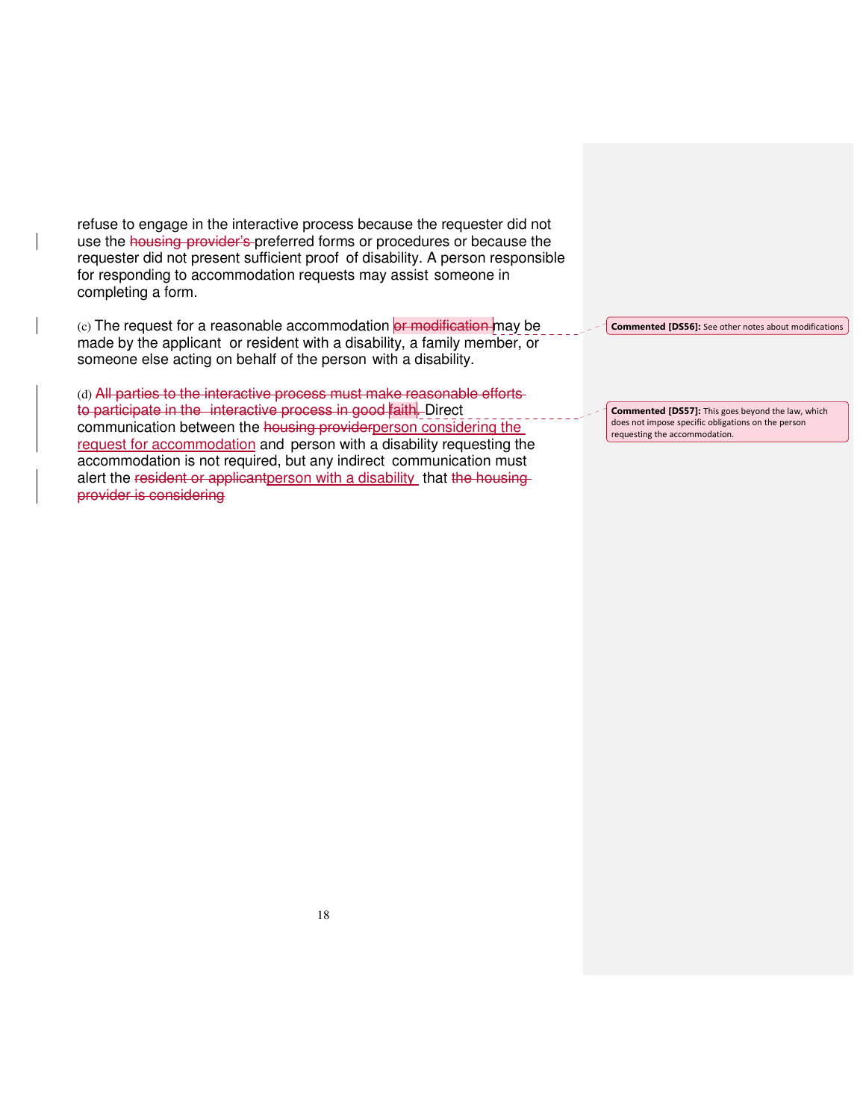refuse to engage in the interactive process because the requester did not use the housing provider's preferred forms or procedures or because the requester did not present sufficient proof of disability. A person responsible for responding to accommodation requests may assist someone in completing a form.

(c) The request for a reasonable accommodation or modification may be made by the applicant or resident with a disability, a family member, or someone else acting on behalf of the person with a disability.

(d) All parties to the interactive process must make reasonable efforts to participate in the interactive process in good faith. Direct communication between the housing providerperson considering the request for accommodation and person with a disability requesting the accommodation is not required, but any indirect communication must alert the resident or applicantperson with a disability that the housingprovider is considering

Commented [DS56]: See other notes about modifications

Commented [DS57]: This goes beyond the law, which does not impose specific obligations on the person requesting the accommodation.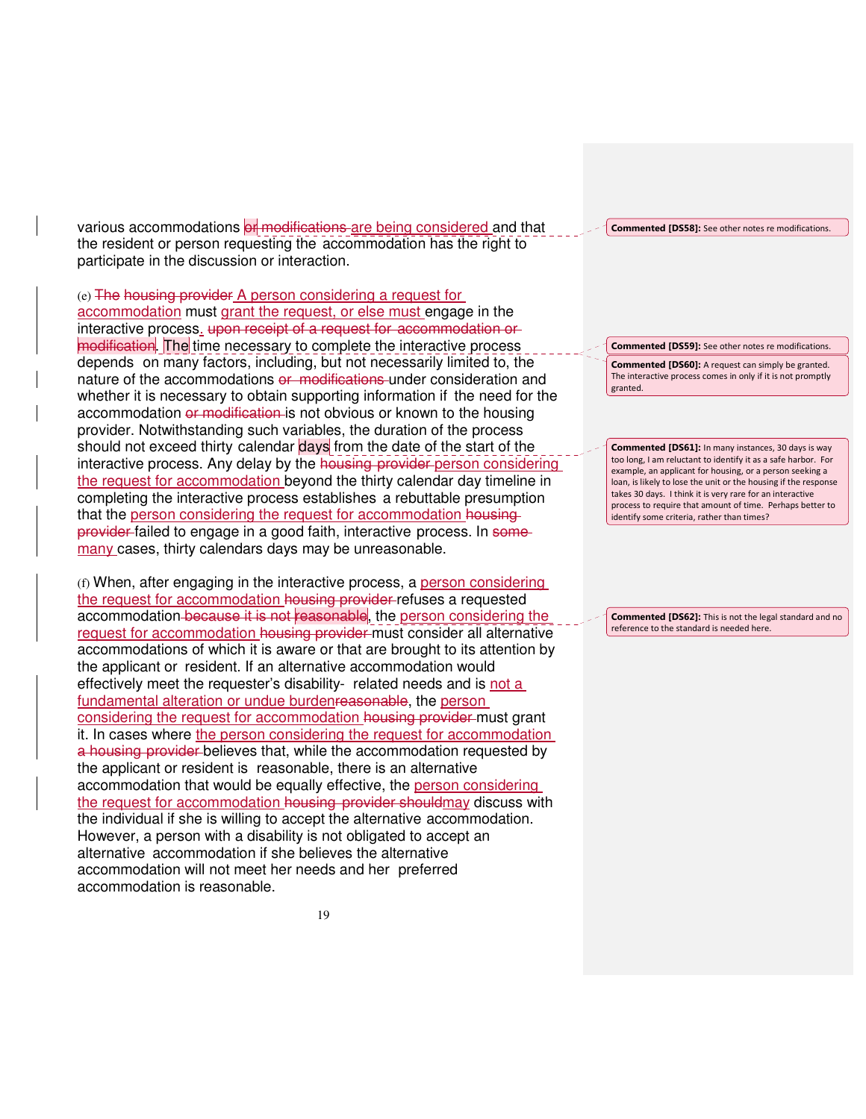various accommodations or modifications are being considered and that the resident or person requesting the accommodation has the right to participate in the discussion or interaction.

(e) The housing provider A person considering a request for accommodation must grant the request, or else must engage in the interactive process. upon receipt of a request for accommodation or modification. The time necessary to complete the interactive process depends on many factors, including, but not necessarily limited to, the nature of the accommodations or modifications under consideration and whether it is necessary to obtain supporting information if the need for the accommodation or modification is not obvious or known to the housing provider. Notwithstanding such variables, the duration of the process should not exceed thirty calendar days from the date of the start of the interactive process. Any delay by the housing provider person considering the request for accommodation beyond the thirty calendar day timeline in completing the interactive process establishes a rebuttable presumption that the person considering the request for accommodation housingprovider failed to engage in a good faith, interactive process. In some many cases, thirty calendars days may be unreasonable.

(f) When, after engaging in the interactive process, a person considering the request for accommodation housing provider refuses a requested accommodation because it is not reasonable, the person considering the request for accommodation housing provider must consider all alternative accommodations of which it is aware or that are brought to its attention by the applicant or resident. If an alternative accommodation would effectively meet the requester's disability- related needs and is not a fundamental alteration or undue burdenreasonable, the person considering the request for accommodation housing provider must grant it. In cases where the person considering the request for accommodation a housing provider believes that, while the accommodation requested by the applicant or resident is reasonable, there is an alternative accommodation that would be equally effective, the person considering the request for accommodation housing provider shouldmay discuss with the individual if she is willing to accept the alternative accommodation. However, a person with a disability is not obligated to accept an alternative accommodation if she believes the alternative accommodation will not meet her needs and her preferred accommodation is reasonable.

Commented [DS58]: See other notes re modifications.

Commented [DS59]: See other notes re modifications. Commented [DS60]: A request can simply be granted. The interactive process comes in only if it is not promptly granted.

Commented [DS61]: In many instances, 30 days is way too long, I am reluctant to identify it as a safe harbor. For example, an applicant for housing, or a person seeking a loan, is likely to lose the unit or the housing if the response takes 30 days. I think it is very rare for an interactive process to require that amount of time. Perhaps better to identify some criteria, rather than times?

Commented [DS62]: This is not the legal standard and no reference to the standard is needed here.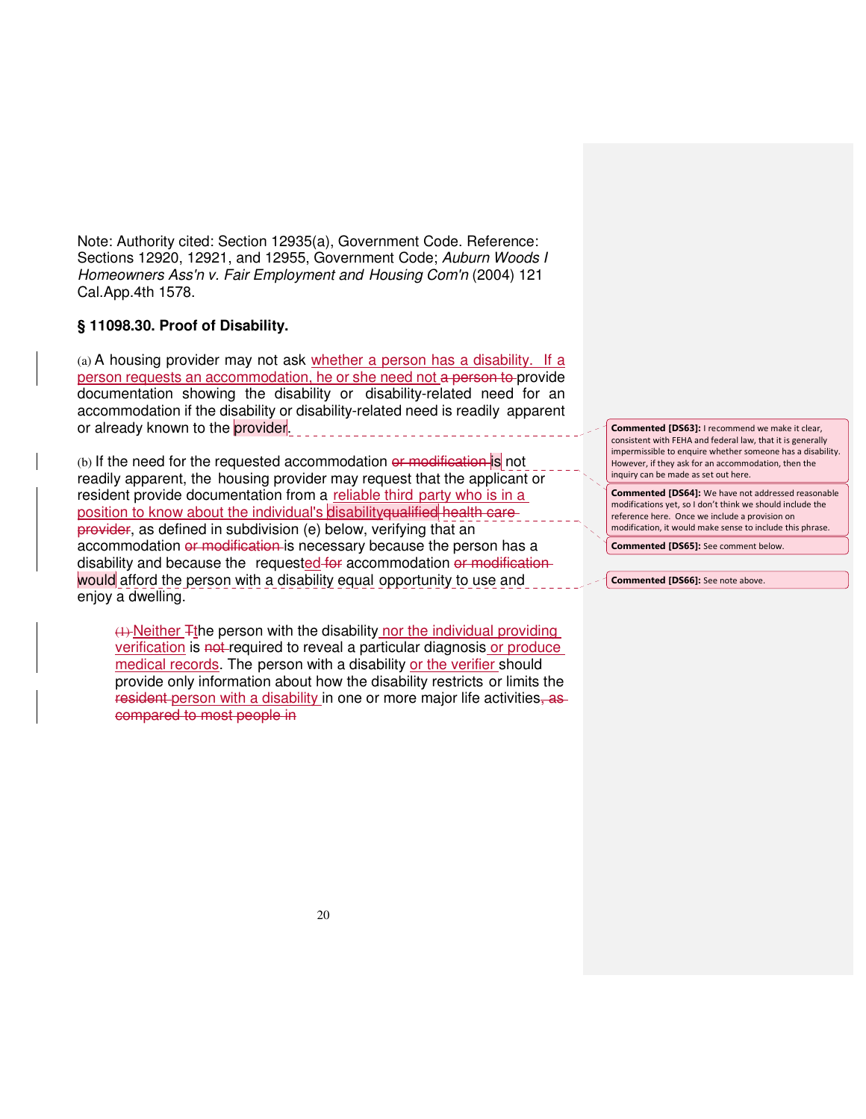Note: Authority cited: Section 12935(a), Government Code. Reference: Sections 12920, 12921, and 12955, Government Code; Auburn Woods I Homeowners Ass'n v. Fair Employment and Housing Com'n (2004) 121 Cal.App.4th 1578.

# **§ 11098.30. Proof of Disability.**

(a) A housing provider may not ask whether a person has a disability. If a person requests an accommodation, he or she need not a person to provide documentation showing the disability or disability-related need for an accommodation if the disability or disability-related need is readily apparent or already known to the provider.

(b) If the need for the requested accommodation or modification is not readily apparent, the housing provider may request that the applicant or resident provide documentation from a reliable third party who is in a position to know about the individual's disabilityqualified health care provider, as defined in subdivision (e) below, verifying that an accommodation or modification is necessary because the person has a disability and because the requested for accommodation or modification would afford the person with a disability equal opportunity to use and enjoy a dwelling.

(1) Neither Tthe person with the disability nor the individual providing verification is not required to reveal a particular diagnosis or produce medical records. The person with a disability or the verifier should provide only information about how the disability restricts or limits the resident person with a disability in one or more major life activities, as compared to most people in

Commented [DS63]: I recommend we make it clear, consistent with FEHA and federal law, that it is generally impermissible to enquire whether someone has a disability. However, if they ask for an accommodation, then the inquiry can be made as set out here.

Commented [DS64]: We have not addressed reasonable modifications yet, so I don't think we should include the reference here. Once we include a provision on modification, it would make sense to include this phrase.

Commented [DS65]: See comment below.

Commented [DS66]: See note above.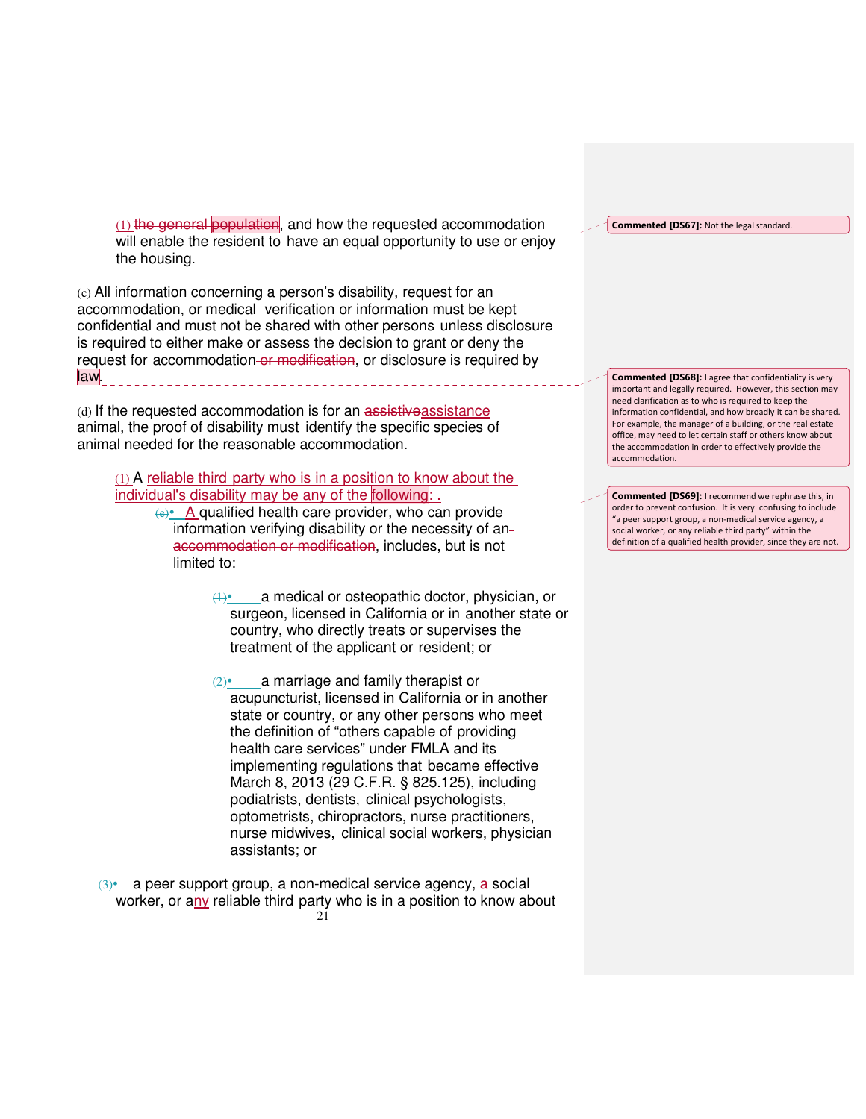(1) the general population, and how the requested accommodation will enable the resident to have an equal opportunity to use or enjoy the housing.

(c) All information concerning a person's disability, request for an accommodation, or medical verification or information must be kept confidential and must not be shared with other persons unless disclosure is required to either make or assess the decision to grant or deny the request for accommodation or modification, or disclosure is required by law.

(d) If the requested accommodation is for an assistiveassistance animal, the proof of disability must identify the specific species of animal needed for the reasonable accommodation.

(1) A reliable third party who is in a position to know about the individual's disability may be any of the following: .

(e)• A qualified health care provider, who can provide information verifying disability or the necessity of an accommodation or modification, includes, but is not limited to:

> $(1)$ • a medical or osteopathic doctor, physician, or surgeon, licensed in California or in another state or country, who directly treats or supervises the treatment of the applicant or resident; or

 $(2)$ • a marriage and family therapist or acupuncturist, licensed in California or in another state or country, or any other persons who meet the definition of "others capable of providing health care services" under FMLA and its implementing regulations that became effective March 8, 2013 (29 C.F.R. § 825.125), including podiatrists, dentists, clinical psychologists, optometrists, chiropractors, nurse practitioners, nurse midwives, clinical social workers, physician assistants; or

 $21$ (3)• a peer support group, a non-medical service agency, a social worker, or any reliable third party who is in a position to know about Commented [DS67]: Not the legal standard.

Commented [DS68]: I agree that confidentiality is very important and legally required. However, this section may need clarification as to who is required to keep the information confidential, and how broadly it can be shared. For example, the manager of a building, or the real estate office, may need to let certain staff or others know about the accommodation in order to effectively provide the accommodation.

Commented [DS69]: I recommend we rephrase this, in order to prevent confusion. It is very confusing to include "a peer support group, a non-medical service agency, a social worker, or any reliable third party" within the definition of a qualified health provider, since they are not.